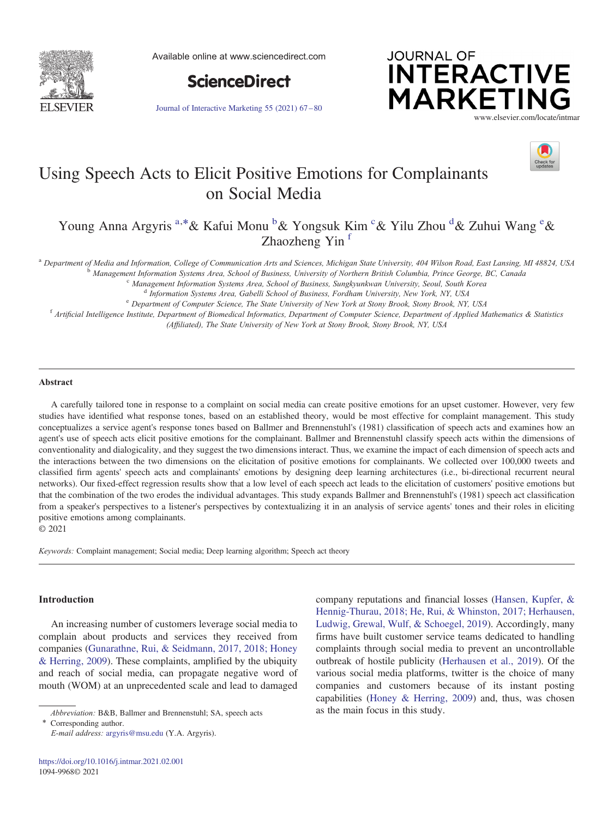

Available online at www.sciencedirect.com



Journal of Interactive Marketing 55 (2021) 67– 80





# Using Speech Acts to Elicit Positive Emotions for Complainants on Social Media

Young Anna Argyris <sup>a,\*</sup>& Kafui Monu <sup>b</sup>& Yongsuk Kim <sup>c</sup>& Yilu Zhou <sup>d</sup>& Zuhui Wang <sup>e</sup>& Zhaozheng Yin<sup>f</sup>

a Department of Media and Information, College of Communication Arts and Sciences, Michigan State University, 404 Wilson Road, East Lansing, MI 48824, USA<br><sup>b</sup> Management Information Systems Area, School of Business, Univer

(Affiliated), The State University of New York at Stony Brook, Stony Brook, NY, USA

## Abstract

A carefully tailored tone in response to a complaint on social media can create positive emotions for an upset customer. However, very few studies have identified what response tones, based on an established theory, would be most effective for complaint management. This study conceptualizes a service agent's response tones based on Ballmer and Brennenstuhl's (1981) classification of speech acts and examines how an agent's use of speech acts elicit positive emotions for the complainant. Ballmer and Brennenstuhl classify speech acts within the dimensions of conventionality and dialogicality, and they suggest the two dimensions interact. Thus, we examine the impact of each dimension of speech acts and the interactions between the two dimensions on the elicitation of positive emotions for complainants. We collected over 100,000 tweets and classified firm agents' speech acts and complainants' emotions by designing deep learning architectures (i.e., bi-directional recurrent neural networks). Our fixed-effect regression results show that a low level of each speech act leads to the elicitation of customers' positive emotions but that the combination of the two erodes the individual advantages. This study expands Ballmer and Brennenstuhl's (1981) speech act classification from a speaker's perspectives to a listener's perspectives by contextualizing it in an analysis of service agents' tones and their roles in eliciting positive emotions among complainants.

© 2021

Keywords: Complaint management; Social media; Deep learning algorithm; Speech act theory

#### Introduction

An increasing number of customers leverage social media to complain about products and services they received from companies (Gunarathne, Rui, & Seidmann, 2017, 2018; Honey & Herring, 2009). These complaints, amplified by the ubiquity and reach of social media, can propagate negative word of mouth (WOM) at an unprecedented scale and lead to damaged

⁎ Corresponding author. E-mail address: argyris@msu.edu (Y.A. Argyris). company reputations and financial losses (Hansen, Kupfer, & Hennig-Thurau, 2018; He, Rui, & Whinston, 2017; Herhausen, Ludwig, Grewal, Wulf, & Schoegel, 2019). Accordingly, many firms have built customer service teams dedicated to handling complaints through social media to prevent an uncontrollable outbreak of hostile publicity (Herhausen et al., 2019). Of the various social media platforms, twitter is the choice of many companies and customers because of its instant posting capabilities (Honey & Herring, 2009) and, thus, was chosen

Abbreviation: B&B, Ballmer and Brennenstuhl; SA, speech acts as the main focus in this study.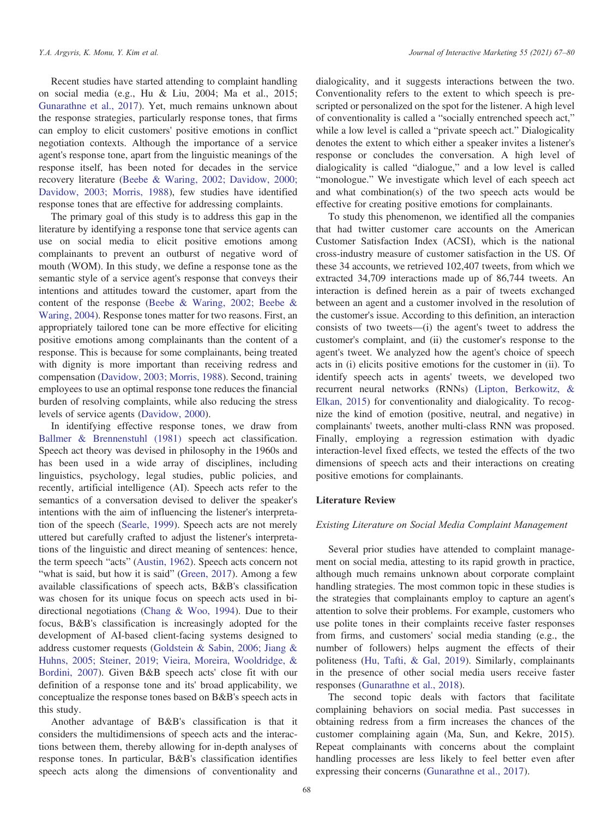Recent studies have started attending to complaint handling on social media (e.g., Hu & Liu, 2004; Ma et al., 2015; Gunarathne et al., 2017). Yet, much remains unknown about the response strategies, particularly response tones, that firms can employ to elicit customers' positive emotions in conflict negotiation contexts. Although the importance of a service agent's response tone, apart from the linguistic meanings of the response itself, has been noted for decades in the service recovery literature (Beebe & Waring, 2002; Davidow, 2000; Davidow, 2003; Morris, 1988), few studies have identified response tones that are effective for addressing complaints.

The primary goal of this study is to address this gap in the literature by identifying a response tone that service agents can use on social media to elicit positive emotions among complainants to prevent an outburst of negative word of mouth (WOM). In this study, we define a response tone as the semantic style of a service agent's response that conveys their intentions and attitudes toward the customer, apart from the content of the response (Beebe & Waring, 2002; Beebe & Waring, 2004). Response tones matter for two reasons. First, an appropriately tailored tone can be more effective for eliciting positive emotions among complainants than the content of a response. This is because for some complainants, being treated with dignity is more important than receiving redress and compensation (Davidow, 2003; Morris, 1988). Second, training employees to use an optimal response tone reduces the financial burden of resolving complaints, while also reducing the stress levels of service agents (Davidow, 2000).

In identifying effective response tones, we draw from Ballmer & Brennenstuhl (1981) speech act classification. Speech act theory was devised in philosophy in the 1960s and has been used in a wide array of disciplines, including linguistics, psychology, legal studies, public policies, and recently, artificial intelligence (AI). Speech acts refer to the semantics of a conversation devised to deliver the speaker's intentions with the aim of influencing the listener's interpretation of the speech (Searle, 1999). Speech acts are not merely uttered but carefully crafted to adjust the listener's interpretations of the linguistic and direct meaning of sentences: hence, the term speech "acts" (Austin, 1962). Speech acts concern not "what is said, but how it is said" (Green, 2017). Among a few available classifications of speech acts, B&B's classification was chosen for its unique focus on speech acts used in bidirectional negotiations (Chang & Woo, 1994). Due to their focus, B&B's classification is increasingly adopted for the development of AI-based client-facing systems designed to address customer requests (Goldstein & Sabin, 2006; Jiang & Huhns, 2005; Steiner, 2019; Vieira, Moreira, Wooldridge, & Bordini, 2007). Given B&B speech acts' close fit with our definition of a response tone and its' broad applicability, we conceptualize the response tones based on B&B's speech acts in this study.

Another advantage of B&B's classification is that it considers the multidimensions of speech acts and the interactions between them, thereby allowing for in-depth analyses of response tones. In particular, B&B's classification identifies speech acts along the dimensions of conventionality and

dialogicality, and it suggests interactions between the two. Conventionality refers to the extent to which speech is prescripted or personalized on the spot for the listener. A high level of conventionality is called a "socially entrenched speech act," while a low level is called a "private speech act." Dialogicality denotes the extent to which either a speaker invites a listener's response or concludes the conversation. A high level of dialogicality is called "dialogue," and a low level is called "monologue." We investigate which level of each speech act and what combination(s) of the two speech acts would be effective for creating positive emotions for complainants.

To study this phenomenon, we identified all the companies that had twitter customer care accounts on the American Customer Satisfaction Index (ACSI), which is the national cross-industry measure of customer satisfaction in the US. Of these 34 accounts, we retrieved 102,407 tweets, from which we extracted 34,709 interactions made up of 86,744 tweets. An interaction is defined herein as a pair of tweets exchanged between an agent and a customer involved in the resolution of the customer's issue. According to this definition, an interaction consists of two tweets—(i) the agent's tweet to address the customer's complaint, and (ii) the customer's response to the agent's tweet. We analyzed how the agent's choice of speech acts in (i) elicits positive emotions for the customer in (ii). To identify speech acts in agents' tweets, we developed two recurrent neural networks (RNNs) (Lipton, Berkowitz, & Elkan, 2015) for conventionality and dialogicality. To recognize the kind of emotion (positive, neutral, and negative) in complainants' tweets, another multi-class RNN was proposed. Finally, employing a regression estimation with dyadic interaction-level fixed effects, we tested the effects of the two dimensions of speech acts and their interactions on creating positive emotions for complainants.

## Literature Review

#### Existing Literature on Social Media Complaint Management

Several prior studies have attended to complaint management on social media, attesting to its rapid growth in practice, although much remains unknown about corporate complaint handling strategies. The most common topic in these studies is the strategies that complainants employ to capture an agent's attention to solve their problems. For example, customers who use polite tones in their complaints receive faster responses from firms, and customers' social media standing (e.g., the number of followers) helps augment the effects of their politeness (Hu, Tafti, & Gal, 2019). Similarly, complainants in the presence of other social media users receive faster responses (Gunarathne et al., 2018).

The second topic deals with factors that facilitate complaining behaviors on social media. Past successes in obtaining redress from a firm increases the chances of the customer complaining again (Ma, Sun, and Kekre, 2015). Repeat complainants with concerns about the complaint handling processes are less likely to feel better even after expressing their concerns (Gunarathne et al., 2017).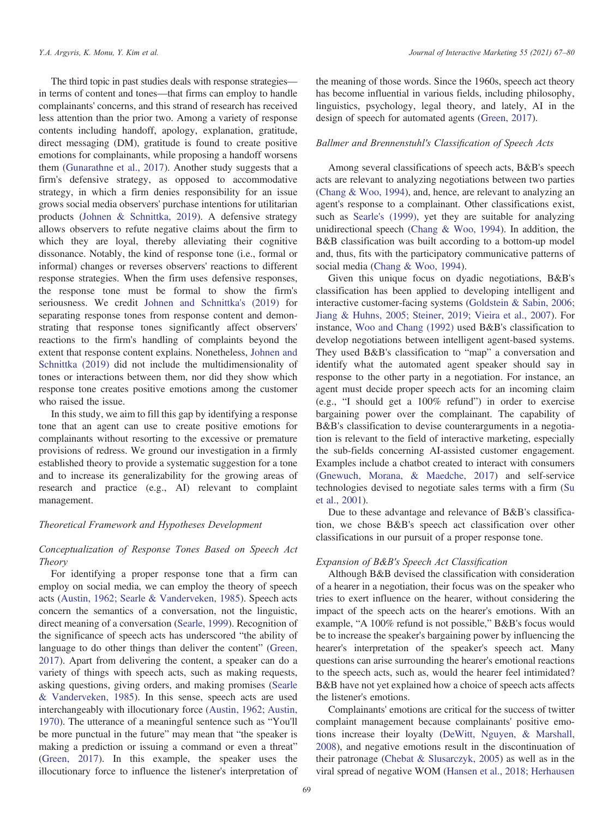The third topic in past studies deals with response strategies in terms of content and tones—that firms can employ to handle complainants' concerns, and this strand of research has received less attention than the prior two. Among a variety of response contents including handoff, apology, explanation, gratitude, direct messaging (DM), gratitude is found to create positive emotions for complainants, while proposing a handoff worsens them (Gunarathne et al., 2017). Another study suggests that a firm's defensive strategy, as opposed to accommodative strategy, in which a firm denies responsibility for an issue grows social media observers' purchase intentions for utilitarian products (Johnen & Schnittka, 2019). A defensive strategy allows observers to refute negative claims about the firm to which they are loyal, thereby alleviating their cognitive dissonance. Notably, the kind of response tone (i.e., formal or informal) changes or reverses observers' reactions to different response strategies. When the firm uses defensive responses, the response tone must be formal to show the firm's seriousness. We credit Johnen and Schnittka's (2019) for separating response tones from response content and demonstrating that response tones significantly affect observers' reactions to the firm's handling of complaints beyond the extent that response content explains. Nonetheless, Johnen and Schnittka (2019) did not include the multidimensionality of tones or interactions between them, nor did they show which response tone creates positive emotions among the customer who raised the issue.

In this study, we aim to fill this gap by identifying a response tone that an agent can use to create positive emotions for complainants without resorting to the excessive or premature provisions of redress. We ground our investigation in a firmly established theory to provide a systematic suggestion for a tone and to increase its generalizability for the growing areas of research and practice (e.g., AI) relevant to complaint management.

## Theoretical Framework and Hypotheses Development

# Conceptualization of Response Tones Based on Speech Act Theory

For identifying a proper response tone that a firm can employ on social media, we can employ the theory of speech acts (Austin, 1962; Searle & Vanderveken, 1985). Speech acts concern the semantics of a conversation, not the linguistic, direct meaning of a conversation (Searle, 1999). Recognition of the significance of speech acts has underscored "the ability of language to do other things than deliver the content" (Green, 2017). Apart from delivering the content, a speaker can do a variety of things with speech acts, such as making requests, asking questions, giving orders, and making promises (Searle & Vanderveken, 1985). In this sense, speech acts are used interchangeably with illocutionary force (Austin, 1962; Austin, 1970). The utterance of a meaningful sentence such as "You'll be more punctual in the future" may mean that "the speaker is making a prediction or issuing a command or even a threat" (Green, 2017). In this example, the speaker uses the illocutionary force to influence the listener's interpretation of the meaning of those words. Since the 1960s, speech act theory has become influential in various fields, including philosophy, linguistics, psychology, legal theory, and lately, AI in the design of speech for automated agents (Green, 2017).

## Ballmer and Brennenstuhl's Classification of Speech Acts

Among several classifications of speech acts, B&B's speech acts are relevant to analyzing negotiations between two parties (Chang & Woo, 1994), and, hence, are relevant to analyzing an agent's response to a complainant. Other classifications exist, such as Searle's (1999), yet they are suitable for analyzing unidirectional speech (Chang & Woo, 1994). In addition, the B&B classification was built according to a bottom-up model and, thus, fits with the participatory communicative patterns of social media (Chang & Woo, 1994).

Given this unique focus on dyadic negotiations, B&B's classification has been applied to developing intelligent and interactive customer-facing systems (Goldstein & Sabin, 2006; Jiang & Huhns, 2005; Steiner, 2019; Vieira et al., 2007). For instance, Woo and Chang (1992) used B&B's classification to develop negotiations between intelligent agent-based systems. They used B&B's classification to "map" a conversation and identify what the automated agent speaker should say in response to the other party in a negotiation. For instance, an agent must decide proper speech acts for an incoming claim (e.g., "I should get a 100% refund") in order to exercise bargaining power over the complainant. The capability of B&B's classification to devise counterarguments in a negotiation is relevant to the field of interactive marketing, especially the sub-fields concerning AI-assisted customer engagement. Examples include a chatbot created to interact with consumers (Gnewuch, Morana, & Maedche, 2017) and self-service technologies devised to negotiate sales terms with a firm (Su et al., 2001).

Due to these advantage and relevance of B&B's classification, we chose B&B's speech act classification over other classifications in our pursuit of a proper response tone.

# Expansion of B&B's Speech Act Classification

Although B&B devised the classification with consideration of a hearer in a negotiation, their focus was on the speaker who tries to exert influence on the hearer, without considering the impact of the speech acts on the hearer's emotions. With an example, "A 100% refund is not possible," B&B's focus would be to increase the speaker's bargaining power by influencing the hearer's interpretation of the speaker's speech act. Many questions can arise surrounding the hearer's emotional reactions to the speech acts, such as, would the hearer feel intimidated? B&B have not yet explained how a choice of speech acts affects the listener's emotions.

Complainants' emotions are critical for the success of twitter complaint management because complainants' positive emotions increase their loyalty (DeWitt, Nguyen, & Marshall, 2008), and negative emotions result in the discontinuation of their patronage (Chebat & Slusarczyk, 2005) as well as in the viral spread of negative WOM (Hansen et al., 2018; Herhausen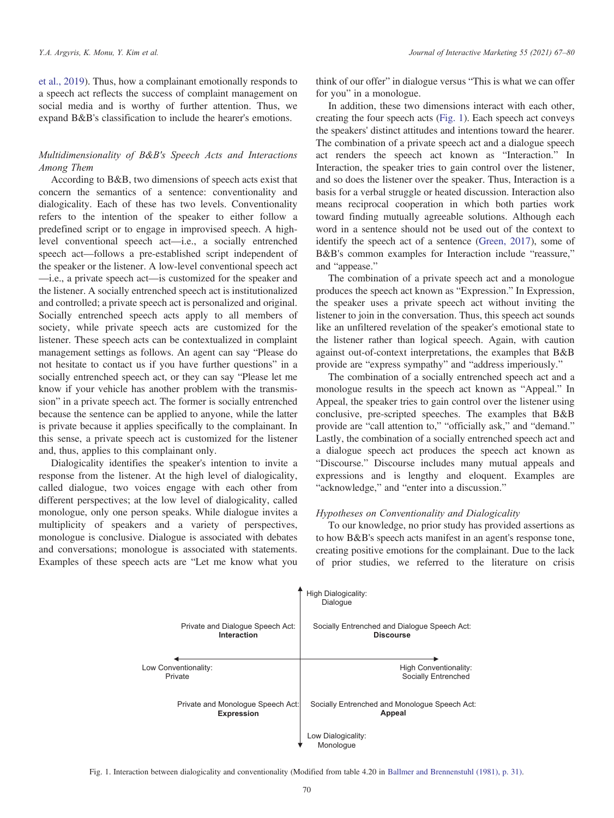et al., 2019). Thus, how a complainant emotionally responds to a speech act reflects the success of complaint management on social media and is worthy of further attention. Thus, we expand B&B's classification to include the hearer's emotions.

# Multidimensionality of B&B's Speech Acts and Interactions Among Them

According to B&B, two dimensions of speech acts exist that concern the semantics of a sentence: conventionality and dialogicality. Each of these has two levels. Conventionality refers to the intention of the speaker to either follow a predefined script or to engage in improvised speech. A highlevel conventional speech act—i.e., a socially entrenched speech act—follows a pre-established script independent of the speaker or the listener. A low-level conventional speech act —i.e., a private speech act—is customized for the speaker and the listener. A socially entrenched speech act is institutionalized and controlled; a private speech act is personalized and original. Socially entrenched speech acts apply to all members of society, while private speech acts are customized for the listener. These speech acts can be contextualized in complaint management settings as follows. An agent can say "Please do not hesitate to contact us if you have further questions" in a socially entrenched speech act, or they can say "Please let me know if your vehicle has another problem with the transmission" in a private speech act. The former is socially entrenched because the sentence can be applied to anyone, while the latter is private because it applies specifically to the complainant. In this sense, a private speech act is customized for the listener and, thus, applies to this complainant only.

Dialogicality identifies the speaker's intention to invite a response from the listener. At the high level of dialogicality, called dialogue, two voices engage with each other from different perspectives; at the low level of dialogicality, called monologue, only one person speaks. While dialogue invites a multiplicity of speakers and a variety of perspectives, monologue is conclusive. Dialogue is associated with debates and conversations; monologue is associated with statements. Examples of these speech acts are "Let me know what you think of our offer" in dialogue versus "This is what we can offer for you" in a monologue.

In addition, these two dimensions interact with each other, creating the four speech acts (Fig. 1). Each speech act conveys the speakers' distinct attitudes and intentions toward the hearer. The combination of a private speech act and a dialogue speech act renders the speech act known as "Interaction." In Interaction, the speaker tries to gain control over the listener, and so does the listener over the speaker. Thus, Interaction is a basis for a verbal struggle or heated discussion. Interaction also means reciprocal cooperation in which both parties work toward finding mutually agreeable solutions. Although each word in a sentence should not be used out of the context to identify the speech act of a sentence (Green, 2017), some of B&B's common examples for Interaction include "reassure," and "appease."

The combination of a private speech act and a monologue produces the speech act known as "Expression." In Expression, the speaker uses a private speech act without inviting the listener to join in the conversation. Thus, this speech act sounds like an unfiltered revelation of the speaker's emotional state to the listener rather than logical speech. Again, with caution against out-of-context interpretations, the examples that B&B provide are "express sympathy" and "address imperiously."

The combination of a socially entrenched speech act and a monologue results in the speech act known as "Appeal." In Appeal, the speaker tries to gain control over the listener using conclusive, pre-scripted speeches. The examples that B&B provide are "call attention to," "officially ask," and "demand." Lastly, the combination of a socially entrenched speech act and a dialogue speech act produces the speech act known as "Discourse." Discourse includes many mutual appeals and expressions and is lengthy and eloquent. Examples are "acknowledge," and "enter into a discussion."

## Hypotheses on Conventionality and Dialogicality

To our knowledge, no prior study has provided assertions as to how B&B's speech acts manifest in an agent's response tone, creating positive emotions for the complainant. Due to the lack of prior studies, we referred to the literature on crisis



Fig. 1. Interaction between dialogicality and conventionality (Modified from table 4.20 in Ballmer and Brennenstuhl (1981), p. 31).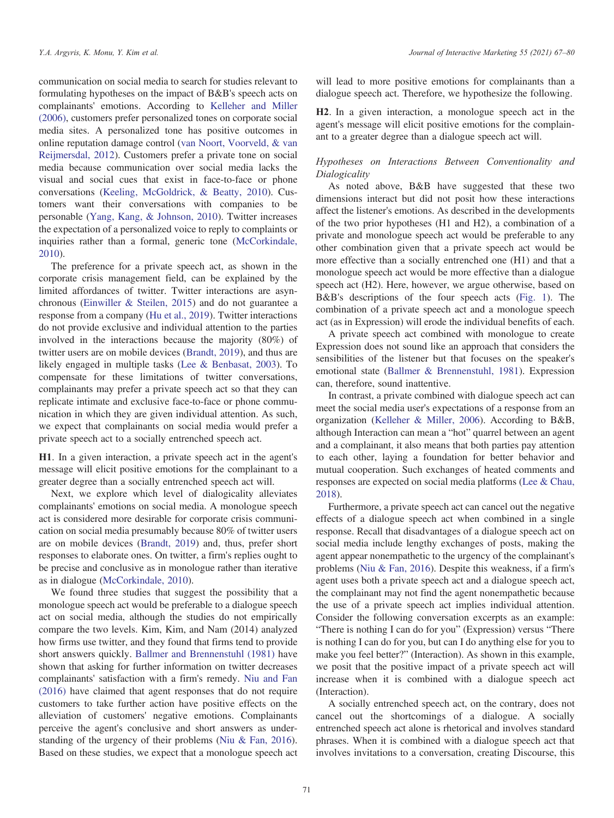communication on social media to search for studies relevant to formulating hypotheses on the impact of B&B's speech acts on complainants' emotions. According to Kelleher and Miller (2006), customers prefer personalized tones on corporate social media sites. A personalized tone has positive outcomes in online reputation damage control (van Noort, Voorveld, & van Reijmersdal, 2012). Customers prefer a private tone on social media because communication over social media lacks the visual and social cues that exist in face-to-face or phone conversations (Keeling, McGoldrick, & Beatty, 2010). Customers want their conversations with companies to be personable (Yang, Kang, & Johnson, 2010). Twitter increases the expectation of a personalized voice to reply to complaints or inquiries rather than a formal, generic tone (McCorkindale, 2010).

The preference for a private speech act, as shown in the corporate crisis management field, can be explained by the limited affordances of twitter. Twitter interactions are asynchronous (Einwiller & Steilen, 2015) and do not guarantee a response from a company (Hu et al., 2019). Twitter interactions do not provide exclusive and individual attention to the parties involved in the interactions because the majority (80%) of twitter users are on mobile devices (Brandt, 2019), and thus are likely engaged in multiple tasks (Lee & Benbasat, 2003). To compensate for these limitations of twitter conversations, complainants may prefer a private speech act so that they can replicate intimate and exclusive face-to-face or phone communication in which they are given individual attention. As such, we expect that complainants on social media would prefer a private speech act to a socially entrenched speech act.

H1. In a given interaction, a private speech act in the agent's message will elicit positive emotions for the complainant to a greater degree than a socially entrenched speech act will.

Next, we explore which level of dialogicality alleviates complainants' emotions on social media. A monologue speech act is considered more desirable for corporate crisis communication on social media presumably because 80% of twitter users are on mobile devices (Brandt, 2019) and, thus, prefer short responses to elaborate ones. On twitter, a firm's replies ought to be precise and conclusive as in monologue rather than iterative as in dialogue (McCorkindale, 2010).

We found three studies that suggest the possibility that a monologue speech act would be preferable to a dialogue speech act on social media, although the studies do not empirically compare the two levels. Kim, Kim, and Nam (2014) analyzed how firms use twitter, and they found that firms tend to provide short answers quickly. Ballmer and Brennenstuhl (1981) have shown that asking for further information on twitter decreases complainants' satisfaction with a firm's remedy. Niu and Fan (2016) have claimed that agent responses that do not require customers to take further action have positive effects on the alleviation of customers' negative emotions. Complainants perceive the agent's conclusive and short answers as understanding of the urgency of their problems (Niu & Fan, 2016). Based on these studies, we expect that a monologue speech act will lead to more positive emotions for complainants than a dialogue speech act. Therefore, we hypothesize the following.

H2. In a given interaction, a monologue speech act in the agent's message will elicit positive emotions for the complainant to a greater degree than a dialogue speech act will.

## Hypotheses on Interactions Between Conventionality and Dialogicality

As noted above, B&B have suggested that these two dimensions interact but did not posit how these interactions affect the listener's emotions. As described in the developments of the two prior hypotheses (H1 and H2), a combination of a private and monologue speech act would be preferable to any other combination given that a private speech act would be more effective than a socially entrenched one (H1) and that a monologue speech act would be more effective than a dialogue speech act (H2). Here, however, we argue otherwise, based on B&B's descriptions of the four speech acts (Fig. 1). The combination of a private speech act and a monologue speech act (as in Expression) will erode the individual benefits of each.

A private speech act combined with monologue to create Expression does not sound like an approach that considers the sensibilities of the listener but that focuses on the speaker's emotional state (Ballmer & Brennenstuhl, 1981). Expression can, therefore, sound inattentive.

In contrast, a private combined with dialogue speech act can meet the social media user's expectations of a response from an organization (Kelleher & Miller, 2006). According to B&B, although Interaction can mean a "hot" quarrel between an agent and a complainant, it also means that both parties pay attention to each other, laying a foundation for better behavior and mutual cooperation. Such exchanges of heated comments and responses are expected on social media platforms (Lee & Chau, 2018).

Furthermore, a private speech act can cancel out the negative effects of a dialogue speech act when combined in a single response. Recall that disadvantages of a dialogue speech act on social media include lengthy exchanges of posts, making the agent appear nonempathetic to the urgency of the complainant's problems (Niu & Fan, 2016). Despite this weakness, if a firm's agent uses both a private speech act and a dialogue speech act, the complainant may not find the agent nonempathetic because the use of a private speech act implies individual attention. Consider the following conversation excerpts as an example: "There is nothing I can do for you" (Expression) versus "There is nothing I can do for you, but can I do anything else for you to make you feel better?" (Interaction). As shown in this example, we posit that the positive impact of a private speech act will increase when it is combined with a dialogue speech act (Interaction).

A socially entrenched speech act, on the contrary, does not cancel out the shortcomings of a dialogue. A socially entrenched speech act alone is rhetorical and involves standard phrases. When it is combined with a dialogue speech act that involves invitations to a conversation, creating Discourse, this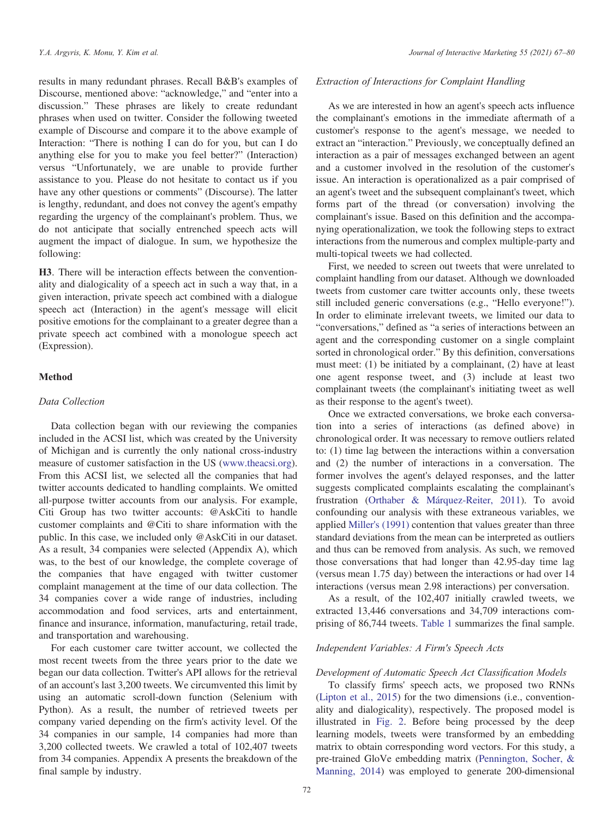results in many redundant phrases. Recall B&B's examples of Discourse, mentioned above: "acknowledge," and "enter into a discussion." These phrases are likely to create redundant phrases when used on twitter. Consider the following tweeted example of Discourse and compare it to the above example of Interaction: "There is nothing I can do for you, but can I do anything else for you to make you feel better?" (Interaction) versus "Unfortunately, we are unable to provide further assistance to you. Please do not hesitate to contact us if you have any other questions or comments" (Discourse). The latter is lengthy, redundant, and does not convey the agent's empathy regarding the urgency of the complainant's problem. Thus, we do not anticipate that socially entrenched speech acts will augment the impact of dialogue. In sum, we hypothesize the following:

H3. There will be interaction effects between the conventionality and dialogicality of a speech act in such a way that, in a given interaction, private speech act combined with a dialogue speech act (Interaction) in the agent's message will elicit positive emotions for the complainant to a greater degree than a private speech act combined with a monologue speech act (Expression).

## Method

## Data Collection

Data collection began with our reviewing the companies included in the ACSI list, which was created by the University of Michigan and is currently the only national cross-industry measure of customer satisfaction in the US (www.theacsi.org). From this ACSI list, we selected all the companies that had twitter accounts dedicated to handling complaints. We omitted all-purpose twitter accounts from our analysis. For example, Citi Group has two twitter accounts: @AskCiti to handle customer complaints and @Citi to share information with the public. In this case, we included only @AskCiti in our dataset. As a result, 34 companies were selected (Appendix A), which was, to the best of our knowledge, the complete coverage of the companies that have engaged with twitter customer complaint management at the time of our data collection. The 34 companies cover a wide range of industries, including accommodation and food services, arts and entertainment, finance and insurance, information, manufacturing, retail trade, and transportation and warehousing.

For each customer care twitter account, we collected the most recent tweets from the three years prior to the date we began our data collection. Twitter's API allows for the retrieval of an account's last 3,200 tweets. We circumvented this limit by using an automatic scroll-down function (Selenium with Python). As a result, the number of retrieved tweets per company varied depending on the firm's activity level. Of the 34 companies in our sample, 14 companies had more than 3,200 collected tweets. We crawled a total of 102,407 tweets from 34 companies. Appendix A presents the breakdown of the final sample by industry.

## Extraction of Interactions for Complaint Handling

As we are interested in how an agent's speech acts influence the complainant's emotions in the immediate aftermath of a customer's response to the agent's message, we needed to extract an "interaction." Previously, we conceptually defined an interaction as a pair of messages exchanged between an agent and a customer involved in the resolution of the customer's issue. An interaction is operationalized as a pair comprised of an agent's tweet and the subsequent complainant's tweet, which forms part of the thread (or conversation) involving the complainant's issue. Based on this definition and the accompanying operationalization, we took the following steps to extract interactions from the numerous and complex multiple-party and multi-topical tweets we had collected.

First, we needed to screen out tweets that were unrelated to complaint handling from our dataset. Although we downloaded tweets from customer care twitter accounts only, these tweets still included generic conversations (e.g., "Hello everyone!"). In order to eliminate irrelevant tweets, we limited our data to "conversations," defined as "a series of interactions between an agent and the corresponding customer on a single complaint sorted in chronological order." By this definition, conversations must meet: (1) be initiated by a complainant, (2) have at least one agent response tweet, and (3) include at least two complainant tweets (the complainant's initiating tweet as well as their response to the agent's tweet).

Once we extracted conversations, we broke each conversation into a series of interactions (as defined above) in chronological order. It was necessary to remove outliers related to: (1) time lag between the interactions within a conversation and (2) the number of interactions in a conversation. The former involves the agent's delayed responses, and the latter suggests complicated complaints escalating the complainant's frustration (Orthaber & Márquez-Reiter, 2011). To avoid confounding our analysis with these extraneous variables, we applied Miller's (1991) contention that values greater than three standard deviations from the mean can be interpreted as outliers and thus can be removed from analysis. As such, we removed those conversations that had longer than 42.95-day time lag (versus mean 1.75 day) between the interactions or had over 14 interactions (versus mean 2.98 interactions) per conversation.

As a result, of the 102,407 initially crawled tweets, we extracted 13,446 conversations and 34,709 interactions comprising of 86,744 tweets. Table 1 summarizes the final sample.

## Independent Variables: A Firm's Speech Acts

#### Development of Automatic Speech Act Classification Models

To classify firms' speech acts, we proposed two RNNs (Lipton et al., 2015) for the two dimensions (i.e., conventionality and dialogicality), respectively. The proposed model is illustrated in Fig. 2. Before being processed by the deep learning models, tweets were transformed by an embedding matrix to obtain corresponding word vectors. For this study, a pre-trained GloVe embedding matrix (Pennington, Socher, & Manning, 2014) was employed to generate 200-dimensional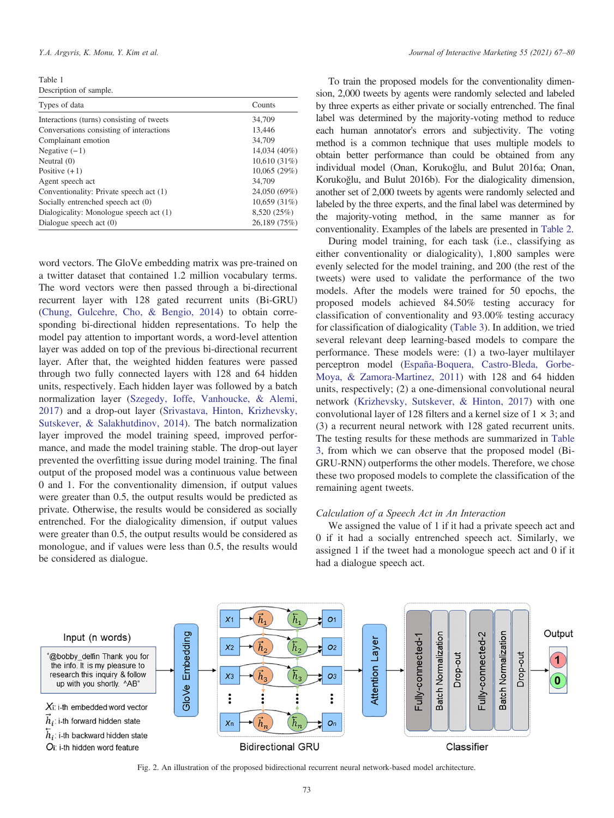Table 1 Description of sample.

| Types of data                             | Counts       |
|-------------------------------------------|--------------|
| Interactions (turns) consisting of tweets | 34,709       |
| Conversations consisting of interactions  | 13.446       |
| Complainant emotion                       | 34,709       |
| Negative $(-1)$                           | 14,034 (40%) |
| Neutral $(0)$                             | 10,610(31%)  |
| Positive $(+1)$                           | 10,065(29%)  |
| Agent speech act                          | 34,709       |
| Conventionality: Private speech act (1)   | 24,050 (69%) |
| Socially entrenched speech act (0)        | 10,659(31%)  |
| Dialogicality: Monologue speech act (1)   | 8,520 (25%)  |
| Dialogue speech act $(0)$                 | 26,189 (75%) |
|                                           |              |

word vectors. The GloVe embedding matrix was pre-trained on a twitter dataset that contained 1.2 million vocabulary terms. The word vectors were then passed through a bi-directional recurrent layer with 128 gated recurrent units (Bi-GRU) (Chung, Gulcehre, Cho, & Bengio, 2014) to obtain corresponding bi-directional hidden representations. To help the model pay attention to important words, a word-level attention layer was added on top of the previous bi-directional recurrent layer. After that, the weighted hidden features were passed through two fully connected layers with 128 and 64 hidden units, respectively. Each hidden layer was followed by a batch normalization layer (Szegedy, Ioffe, Vanhoucke, & Alemi, 2017) and a drop-out layer (Srivastava, Hinton, Krizhevsky, Sutskever, & Salakhutdinov, 2014). The batch normalization layer improved the model training speed, improved performance, and made the model training stable. The drop-out layer prevented the overfitting issue during model training. The final output of the proposed model was a continuous value between 0 and 1. For the conventionality dimension, if output values were greater than 0.5, the output results would be predicted as private. Otherwise, the results would be considered as socially entrenched. For the dialogicality dimension, if output values were greater than 0.5, the output results would be considered as monologue, and if values were less than 0.5, the results would be considered as dialogue.

To train the proposed models for the conventionality dimension, 2,000 tweets by agents were randomly selected and labeled by three experts as either private or socially entrenched. The final label was determined by the majority-voting method to reduce each human annotator's errors and subjectivity. The voting method is a common technique that uses multiple models to obtain better performance than could be obtained from any individual model (Onan, Korukoğlu, and Bulut 2016a; Onan, Korukoğlu, and Bulut 2016b). For the dialogicality dimension, another set of 2,000 tweets by agents were randomly selected and labeled by the three experts, and the final label was determined by the majority-voting method, in the same manner as for conventionality. Examples of the labels are presented in Table 2.

During model training, for each task (i.e., classifying as either conventionality or dialogicality), 1,800 samples were evenly selected for the model training, and 200 (the rest of the tweets) were used to validate the performance of the two models. After the models were trained for 50 epochs, the proposed models achieved 84.50% testing accuracy for classification of conventionality and 93.00% testing accuracy for classification of dialogicality (Table 3). In addition, we tried several relevant deep learning-based models to compare the performance. These models were: (1) a two-layer multilayer perceptron model (España-Boquera, Castro-Bleda, Gorbe-Moya, & Zamora-Martinez, 2011) with 128 and 64 hidden units, respectively; (2) a one-dimensional convolutional neural network (Krizhevsky, Sutskever, & Hinton, 2017) with one convolutional layer of 128 filters and a kernel size of  $1 \times 3$ ; and (3) a recurrent neural network with 128 gated recurrent units. The testing results for these methods are summarized in Table 3, from which we can observe that the proposed model (Bi-GRU-RNN) outperforms the other models. Therefore, we chose these two proposed models to complete the classification of the remaining agent tweets.

## Calculation of a Speech Act in An Interaction

We assigned the value of 1 if it had a private speech act and 0 if it had a socially entrenched speech act. Similarly, we assigned 1 if the tweet had a monologue speech act and 0 if it had a dialogue speech act.



Fig. 2. An illustration of the proposed bidirectional recurrent neural network-based model architecture.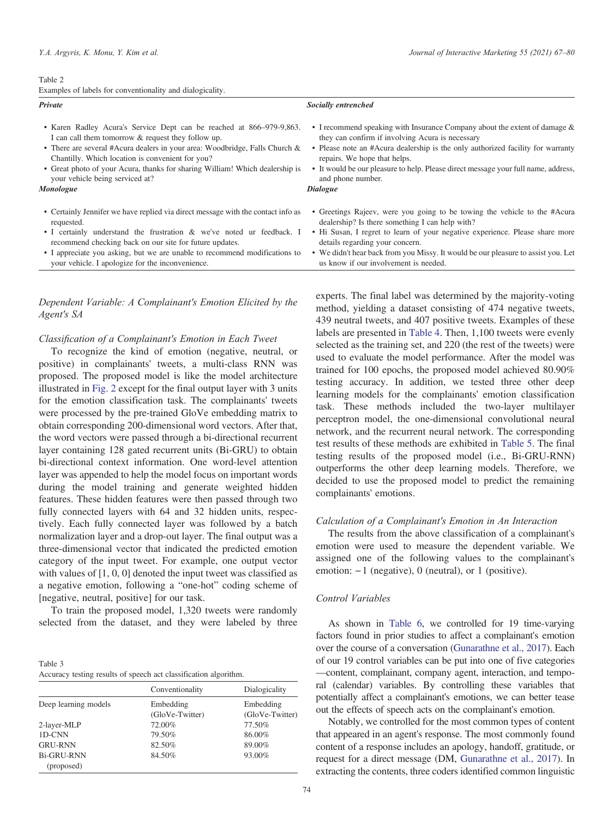#### Table 2

Private

|  | Examples of labels for conventionality and dialogicality. |  |
|--|-----------------------------------------------------------|--|
|  |                                                           |  |

#### Socially entrenched

- Karen Radley Acura's Service Dept can be reached at 866–979-9,863. I can call them tomorrow & request they follow up.
- There are several #Acura dealers in your area: Woodbridge, Falls Church & Chantilly. Which location is convenient for you?
- Great photo of your Acura, thanks for sharing William! Which dealership is your vehicle being serviced at?

#### Monologue

- Certainly Jennifer we have replied via direct message with the contact info as requested.
- I certainly understand the frustration & we've noted ur feedback. I recommend checking back on our site for future updates.
- I appreciate you asking, but we are unable to recommend modifications to your vehicle. I apologize for the inconvenience.

## Dependent Variable: A Complainant's Emotion Elicited by the Agent's SA

#### Classification of a Complainant's Emotion in Each Tweet

To recognize the kind of emotion (negative, neutral, or positive) in complainants' tweets, a multi-class RNN was proposed. The proposed model is like the model architecture illustrated in Fig. 2 except for the final output layer with 3 units for the emotion classification task. The complainants' tweets were processed by the pre-trained GloVe embedding matrix to obtain corresponding 200-dimensional word vectors. After that, the word vectors were passed through a bi-directional recurrent layer containing 128 gated recurrent units (Bi-GRU) to obtain bi-directional context information. One word-level attention layer was appended to help the model focus on important words during the model training and generate weighted hidden features. These hidden features were then passed through two fully connected layers with 64 and 32 hidden units, respectively. Each fully connected layer was followed by a batch normalization layer and a drop-out layer. The final output was a three-dimensional vector that indicated the predicted emotion category of the input tweet. For example, one output vector with values of [1, 0, 0] denoted the input tweet was classified as a negative emotion, following a "one-hot" coding scheme of [negative, neutral, positive] for our task.

To train the proposed model, 1,320 tweets were randomly selected from the dataset, and they were labeled by three

| Table 3                                                          |  |
|------------------------------------------------------------------|--|
| Accuracy testing results of speech act classification algorithm. |  |

|                      | Conventionality              | Dialogicality                |
|----------------------|------------------------------|------------------------------|
| Deep learning models | Embedding<br>(GloVe-Twitter) | Embedding<br>(GloVe-Twitter) |
| 2-layer-MLP          | 72.00%                       | 77.50%                       |
| 1D-CNN               | 79.50%                       | 86.00%                       |
| <b>GRU-RNN</b>       | 82.50%                       | 89.00%                       |
| <b>Bi-GRU-RNN</b>    | 84.50%                       | 93.00%                       |
| (proposed)           |                              |                              |

• I recommend speaking with Insurance Company about the extent of damage & they can confirm if involving Acura is necessary

- Please note an #Acura dealership is the only authorized facility for warranty repairs. We hope that helps.
- It would be our pleasure to help. Please direct message your full name, address, and phone number.

#### Dialogue

- Greetings Rajeev, were you going to be towing the vehicle to the #Acura dealership? Is there something I can help with?
- Hi Susan, I regret to learn of your negative experience. Please share more details regarding your concern.
- We didn't hear back from you Missy. It would be our pleasure to assist you. Let us know if our involvement is needed.

experts. The final label was determined by the majority-voting method, yielding a dataset consisting of 474 negative tweets, 439 neutral tweets, and 407 positive tweets. Examples of these labels are presented in Table 4. Then, 1,100 tweets were evenly selected as the training set, and 220 (the rest of the tweets) were used to evaluate the model performance. After the model was trained for 100 epochs, the proposed model achieved 80.90% testing accuracy. In addition, we tested three other deep learning models for the complainants' emotion classification task. These methods included the two-layer multilayer perceptron model, the one-dimensional convolutional neural network, and the recurrent neural network. The corresponding test results of these methods are exhibited in Table 5. The final testing results of the proposed model (i.e., Bi-GRU-RNN) outperforms the other deep learning models. Therefore, we decided to use the proposed model to predict the remaining complainants' emotions.

## Calculation of a Complainant's Emotion in An Interaction

The results from the above classification of a complainant's emotion were used to measure the dependent variable. We assigned one of the following values to the complainant's emotion: −1 (negative), 0 (neutral), or 1 (positive).

## Control Variables

As shown in Table 6, we controlled for 19 time-varying factors found in prior studies to affect a complainant's emotion over the course of a conversation (Gunarathne et al., 2017). Each of our 19 control variables can be put into one of five categories —content, complainant, company agent, interaction, and temporal (calendar) variables. By controlling these variables that potentially affect a complainant's emotions, we can better tease out the effects of speech acts on the complainant's emotion.

Notably, we controlled for the most common types of content that appeared in an agent's response. The most commonly found content of a response includes an apology, handoff, gratitude, or request for a direct message (DM, Gunarathne et al., 2017). In extracting the contents, three coders identified common linguistic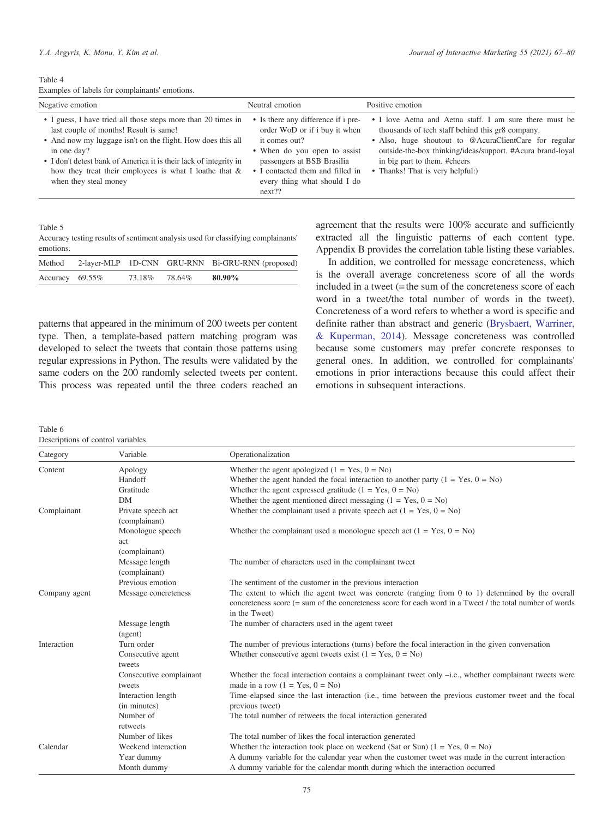Table 4 Examples of labels for complainants' emotions.

| Negative emotion<br>Neutral emotion                                                                                                                                                                                                                                                                                                                                                                                                                                                                                                                                                      | Positive emotion                                                                                                                                                                                                                                                                                       |
|------------------------------------------------------------------------------------------------------------------------------------------------------------------------------------------------------------------------------------------------------------------------------------------------------------------------------------------------------------------------------------------------------------------------------------------------------------------------------------------------------------------------------------------------------------------------------------------|--------------------------------------------------------------------------------------------------------------------------------------------------------------------------------------------------------------------------------------------------------------------------------------------------------|
| • Is there any difference if i pre-<br>• I guess, I have tried all those steps more than 20 times in<br>last couple of months! Result is same!<br>order WoD or if i buy it when<br>• And now my luggage isn't on the flight. How does this all<br>it comes out?<br>in one day?<br>• When do you open to assist<br>• I don't detest bank of America it is their lack of integrity in<br>passengers at BSB Brasilia<br>how they treat their employees is what I loathe that $\&$<br>• I contacted them and filled in<br>every thing what should I do<br>when they steal money<br>$next$ ?? | • I love Aetna and Aetna staff. I am sure there must be<br>thousands of tech staff behind this gr8 company.<br>• Also, huge shoutout to @AcuraClientCare for regular<br>outside-the-box thinking/ideas/support. #Acura brand-loyal<br>in big part to them. #cheers<br>• Thanks! That is very helpful:) |

Table 5

Accuracy testing results of sentiment analysis used for classifying complainants' emotions.

| Method             |        |        | 2-layer-MLP 1D-CNN GRU-RNN Bi-GRU-RNN (proposed) |
|--------------------|--------|--------|--------------------------------------------------|
| Accuracy $69.55\%$ | 73.18% | 78.64% | 80.90%                                           |

patterns that appeared in the minimum of 200 tweets per content type. Then, a template-based pattern matching program was developed to select the tweets that contain those patterns using regular expressions in Python. The results were validated by the same coders on the 200 randomly selected tweets per content. This process was repeated until the three coders reached an agreement that the results were 100% accurate and sufficiently extracted all the linguistic patterns of each content type. Appendix B provides the correlation table listing these variables.

In addition, we controlled for message concreteness, which is the overall average concreteness score of all the words included in a tweet (=the sum of the concreteness score of each word in a tweet/the total number of words in the tweet). Concreteness of a word refers to whether a word is specific and definite rather than abstract and generic (Brysbaert, Warriner, & Kuperman, 2014). Message concreteness was controlled because some customers may prefer concrete responses to general ones. In addition, we controlled for complainants' emotions in prior interactions because this could affect their emotions in subsequent interactions.

Table 6

| Descriptions of control variables. |  |  |  |
|------------------------------------|--|--|--|
|------------------------------------|--|--|--|

| Category      | Variable                                  | Operationalization                                                                                                                                                                                                            |
|---------------|-------------------------------------------|-------------------------------------------------------------------------------------------------------------------------------------------------------------------------------------------------------------------------------|
| Content       | Apology                                   | Whether the agent apologized $(1 = Yes, 0 = No)$                                                                                                                                                                              |
|               | Handoff                                   | Whether the agent handed the focal interaction to another party $(1 = Yes, 0 = No)$                                                                                                                                           |
|               | Gratitude                                 | Whether the agent expressed gratitude $(1 = Yes, 0 = No)$                                                                                                                                                                     |
|               | DM                                        | Whether the agent mentioned direct messaging $(1 = Yes, 0 = No)$                                                                                                                                                              |
| Complainant   | Private speech act<br>(complainant)       | Whether the complainant used a private speech act $(1 = Yes, 0 = No)$                                                                                                                                                         |
|               | Monologue speech<br>act<br>(complainant)  | Whether the complainant used a monologue speech act $(1 = Yes, 0 = No)$                                                                                                                                                       |
|               | Message length<br>(complainant)           | The number of characters used in the complainant tweet                                                                                                                                                                        |
|               | Previous emotion                          | The sentiment of the customer in the previous interaction                                                                                                                                                                     |
| Company agent | Message concreteness                      | The extent to which the agent tweet was concrete (ranging from 0 to 1) determined by the overall<br>concreteness score (= sum of the concreteness score for each word in a Tweet / the total number of words<br>in the Tweet) |
|               | Message length<br>(agent)                 | The number of characters used in the agent tweet                                                                                                                                                                              |
| Interaction   | Turn order<br>Consecutive agent<br>tweets | The number of previous interactions (turns) before the focal interaction in the given conversation<br>Whether consecutive agent tweets exist $(1 = Yes, 0 = No)$                                                              |
|               | Consecutive complainant<br>tweets         | Whether the focal interaction contains a complainant tweet only $-i.e.,$ whether complainant tweets were<br>made in a row $(1 = Yes, 0 = No)$                                                                                 |
|               | Interaction length<br>(in minutes)        | Time elapsed since the last interaction (i.e., time between the previous customer tweet and the focal<br>previous tweet)                                                                                                      |
|               | Number of<br>retweets                     | The total number of retweets the focal interaction generated                                                                                                                                                                  |
|               | Number of likes                           | The total number of likes the focal interaction generated                                                                                                                                                                     |
| Calendar      | Weekend interaction                       | Whether the interaction took place on weekend (Sat or Sun) $(1 = Yes, 0 = No)$                                                                                                                                                |
|               | Year dummy                                | A dummy variable for the calendar year when the customer tweet was made in the current interaction                                                                                                                            |
|               | Month dummy                               | A dummy variable for the calendar month during which the interaction occurred                                                                                                                                                 |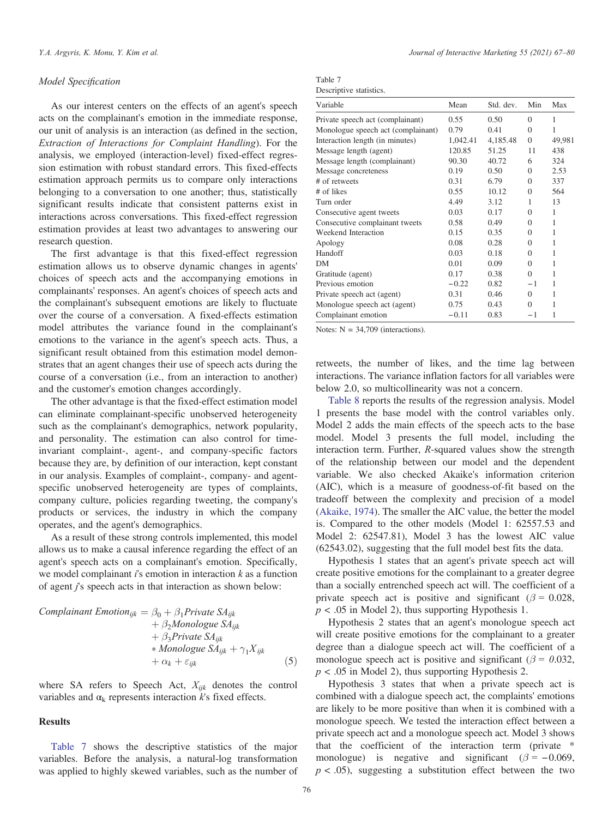## Model Specification

As our interest centers on the effects of an agent's speech acts on the complainant's emotion in the immediate response, our unit of analysis is an interaction (as defined in the section, Extraction of Interactions for Complaint Handling). For the analysis, we employed (interaction-level) fixed-effect regression estimation with robust standard errors. This fixed-effects estimation approach permits us to compare only interactions belonging to a conversation to one another; thus, statistically significant results indicate that consistent patterns exist in interactions across conversations. This fixed-effect regression estimation provides at least two advantages to answering our research question.

The first advantage is that this fixed-effect regression estimation allows us to observe dynamic changes in agents' choices of speech acts and the accompanying emotions in complainants' responses. An agent's choices of speech acts and the complainant's subsequent emotions are likely to fluctuate over the course of a conversation. A fixed-effects estimation model attributes the variance found in the complainant's emotions to the variance in the agent's speech acts. Thus, a significant result obtained from this estimation model demonstrates that an agent changes their use of speech acts during the course of a conversation (i.e., from an interaction to another) and the customer's emotion changes accordingly.

The other advantage is that the fixed-effect estimation model can eliminate complainant-specific unobserved heterogeneity such as the complainant's demographics, network popularity, and personality. The estimation can also control for timeinvariant complaint-, agent-, and company-specific factors because they are, by definition of our interaction, kept constant in our analysis. Examples of complaint-, company- and agentspecific unobserved heterogeneity are types of complaints, company culture, policies regarding tweeting, the company's products or services, the industry in which the company operates, and the agent's demographics.

As a result of these strong controls implemented, this model allows us to make a causal inference regarding the effect of an agent's speech acts on a complainant's emotion. Specifically, we model complainant  $i$ 's emotion in interaction  $k$  as a function of agent j's speech acts in that interaction as shown below:

Complainant Emotion<sub>ijk</sub>

\n
$$
+ \beta_2 Monologue SA_{ijk} + \beta_3 Principle SA_{ijk} + \beta_3 Private SA_{ijk} + \beta_3 Private SA_{ijk} + Monologue SA_{ijk} + \gamma_1 X_{ijk}
$$
\n
$$
+ \alpha_k + \varepsilon_{ijk}
$$
\n(5)

where SA refers to Speech Act,  $X_{ijk}$  denotes the control variables and  $\alpha_k$  represents interaction k's fixed effects.

#### Results

Table 7 shows the descriptive statistics of the major variables. Before the analysis, a natural-log transformation was applied to highly skewed variables, such as the number of

| Table 7                 |  |
|-------------------------|--|
| Descriptive statistics. |  |

| Variable                           | Mean     | Std. dev. | Min      | Max    |
|------------------------------------|----------|-----------|----------|--------|
| Private speech act (complainant)   | 0.55     | 0.50      | $\Omega$ | 1      |
| Monologue speech act (complainant) | 0.79     | 0.41      | $\Omega$ | 1      |
| Interaction length (in minutes)    | 1,042.41 | 4,185.48  | $\theta$ | 49,981 |
| Message length (agent)             | 120.85   | 51.25     | 11       | 438    |
| Message length (complainant)       | 90.30    | 40.72     | 6        | 324    |
| Message concreteness               | 0.19     | 0.50      | $\Omega$ | 2.53   |
| # of retweets                      | 0.31     | 6.79      | $\Omega$ | 337    |
| # of likes                         | 0.55     | 10.12     | $\Omega$ | 564    |
| Turn order                         | 4.49     | 3.12      | 1        | 13     |
| Consecutive agent tweets           | 0.03     | 0.17      | $\Omega$ | 1      |
| Consecutive complainant tweets     | 0.58     | 0.49      | $\Omega$ | 1      |
| Weekend Interaction                | 0.15     | 0.35      | $\Omega$ | 1      |
| Apology                            | 0.08     | 0.28      | $\Omega$ | 1      |
| Handoff                            | 0.03     | 0.18      | $\Omega$ | 1      |
| DМ                                 | 0.01     | 0.09      | $\Omega$ | 1      |
| Gratitude (agent)                  | 0.17     | 0.38      | $\Omega$ | 1      |
| Previous emotion                   | $-0.22$  | 0.82      | $-1$     | 1      |
| Private speech act (agent)         | 0.31     | 0.46      | $\Omega$ | 1      |
| Monologue speech act (agent)       | 0.75     | 0.43      | $\Omega$ |        |
| Complainant emotion                | $-0.11$  | 0.83      | - 1      | 1      |

Notes:  $N = 34,709$  (interactions).

retweets, the number of likes, and the time lag between interactions. The variance inflation factors for all variables were below 2.0, so multicollinearity was not a concern.

Table 8 reports the results of the regression analysis. Model 1 presents the base model with the control variables only. Model 2 adds the main effects of the speech acts to the base model. Model 3 presents the full model, including the interaction term. Further, R-squared values show the strength of the relationship between our model and the dependent variable. We also checked Akaike's information criterion (AIC), which is a measure of goodness-of-fit based on the tradeoff between the complexity and precision of a model (Akaike, 1974). The smaller the AIC value, the better the model is. Compared to the other models (Model 1: 62557.53 and Model 2: 62547.81), Model 3 has the lowest AIC value (62543.02), suggesting that the full model best fits the data.

Hypothesis 1 states that an agent's private speech act will create positive emotions for the complainant to a greater degree than a socially entrenched speech act will. The coefficient of a private speech act is positive and significant ( $\beta = 0.028$ ,  $p < .05$  in Model 2), thus supporting Hypothesis 1.

Hypothesis 2 states that an agent's monologue speech act will create positive emotions for the complainant to a greater degree than a dialogue speech act will. The coefficient of a monologue speech act is positive and significant ( $\beta = 0.032$ ,  $p < .05$  in Model 2), thus supporting Hypothesis 2.

Hypothesis 3 states that when a private speech act is combined with a dialogue speech act, the complaints' emotions are likely to be more positive than when it is combined with a monologue speech. We tested the interaction effect between a private speech act and a monologue speech act. Model 3 shows that the coefficient of the interaction term (private \* monologue) is negative and significant ( $\beta = -0.069$ ,  $p < .05$ ), suggesting a substitution effect between the two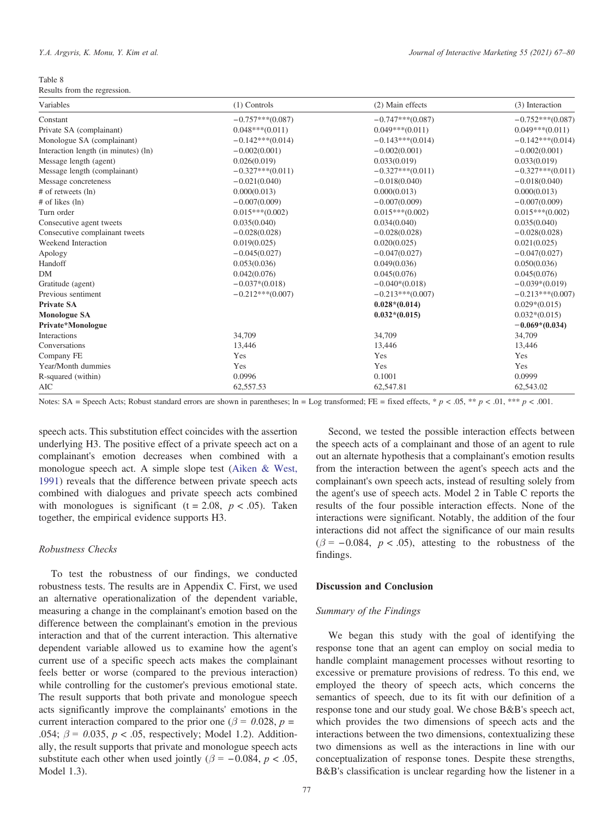Table 8

Results from the regression.

| Variables                            | $(1)$ Controls     | (2) Main effects   | (3) Interaction    |
|--------------------------------------|--------------------|--------------------|--------------------|
| Constant                             | $-0.757***(0.087)$ | $-0.747***(0.087)$ | $-0.752***(0.087)$ |
| Private SA (complainant)             | $0.048***(0.011)$  | $0.049***(0.011)$  | $0.049***(0.011)$  |
| Monologue SA (complainant)           | $-0.142***(0.014)$ | $-0.143***(0.014)$ | $-0.142***(0.014)$ |
| Interaction length (in minutes) (ln) | $-0.002(0.001)$    | $-0.002(0.001)$    | $-0.002(0.001)$    |
| Message length (agent)               | 0.026(0.019)       | 0.033(0.019)       | 0.033(0.019)       |
| Message length (complainant)         | $-0.327***(0.011)$ | $-0.327***(0.011)$ | $-0.327***(0.011)$ |
| Message concreteness                 | $-0.021(0.040)$    | $-0.018(0.040)$    | $-0.018(0.040)$    |
| $#$ of retweets $(ln)$               | 0.000(0.013)       | 0.000(0.013)       | 0.000(0.013)       |
| # of likes (ln)                      | $-0.007(0.009)$    | $-0.007(0.009)$    | $-0.007(0.009)$    |
| Turn order                           | $0.015***(0.002)$  | $0.015***(0.002)$  | $0.015***(0.002)$  |
| Consecutive agent tweets             | 0.035(0.040)       | 0.034(0.040)       | 0.035(0.040)       |
| Consecutive complainant tweets       | $-0.028(0.028)$    | $-0.028(0.028)$    | $-0.028(0.028)$    |
| Weekend Interaction                  | 0.019(0.025)       | 0.020(0.025)       | 0.021(0.025)       |
| Apology                              | $-0.045(0.027)$    | $-0.047(0.027)$    | $-0.047(0.027)$    |
| Handoff                              | 0.053(0.036)       | 0.049(0.036)       | 0.050(0.036)       |
| DM                                   | 0.042(0.076)       | 0.045(0.076)       | 0.045(0.076)       |
| Gratitude (agent)                    | $-0.037*(0.018)$   | $-0.040*(0.018)$   | $-0.039*(0.019)$   |
| Previous sentiment                   | $-0.212***(0.007)$ | $-0.213***(0.007)$ | $-0.213***(0.007)$ |
| Private SA                           |                    | $0.028*(0.014)$    | $0.029*(0.015)$    |
| <b>Monologue SA</b>                  |                    | $0.032*(0.015)$    | $0.032*(0.015)$    |
| Private*Monologue                    |                    |                    | $-0.069*(0.034)$   |
| Interactions                         | 34,709             | 34,709             | 34,709             |
| Conversations                        | 13,446             | 13,446             | 13,446             |
| Company FE                           | Yes                | Yes                | Yes                |
| Year/Month dummies                   | Yes                | Yes                | Yes                |
| R-squared (within)                   | 0.0996             | 0.1001             | 0.0999             |
| AIC                                  | 62,557.53          | 62,547.81          | 62,543.02          |

Notes: SA = Speech Acts; Robust standard errors are shown in parentheses;  $\ln$  = Log transformed; FE = fixed effects, \* p < .05, \*\* p < .01, \*\*\* p < .001.

speech acts. This substitution effect coincides with the assertion underlying H3. The positive effect of a private speech act on a complainant's emotion decreases when combined with a monologue speech act. A simple slope test (Aiken & West, 1991) reveals that the difference between private speech acts combined with dialogues and private speech acts combined with monologues is significant (t = 2.08,  $p < .05$ ). Taken together, the empirical evidence supports H3.

## Robustness Checks

To test the robustness of our findings, we conducted robustness tests. The results are in Appendix C. First, we used an alternative operationalization of the dependent variable, measuring a change in the complainant's emotion based on the difference between the complainant's emotion in the previous interaction and that of the current interaction. This alternative dependent variable allowed us to examine how the agent's current use of a specific speech acts makes the complainant feels better or worse (compared to the previous interaction) while controlling for the customer's previous emotional state. The result supports that both private and monologue speech acts significantly improve the complainants' emotions in the current interaction compared to the prior one ( $\beta = 0.028$ ,  $p =$ .054;  $\beta = 0.035$ ,  $p < .05$ , respectively; Model 1.2). Additionally, the result supports that private and monologue speech acts substitute each other when used jointly ( $\beta$  = -0.084, p < .05, Model 1.3).

from the interaction between the agent's speech acts and the complainant's own speech acts, instead of resulting solely from the agent's use of speech acts. Model 2 in Table C reports the results of the four possible interaction effects. None of the interactions were significant. Notably, the addition of the four interactions did not affect the significance of our main results  $(\beta = -0.084, p < .05)$ , attesting to the robustness of the findings. Discussion and Conclusion

Second, we tested the possible interaction effects between the speech acts of a complainant and those of an agent to rule out an alternate hypothesis that a complainant's emotion results

# Summary of the Findings

We began this study with the goal of identifying the response tone that an agent can employ on social media to handle complaint management processes without resorting to excessive or premature provisions of redress. To this end, we employed the theory of speech acts, which concerns the semantics of speech, due to its fit with our definition of a response tone and our study goal. We chose B&B's speech act, which provides the two dimensions of speech acts and the interactions between the two dimensions, contextualizing these two dimensions as well as the interactions in line with our conceptualization of response tones. Despite these strengths, B&B's classification is unclear regarding how the listener in a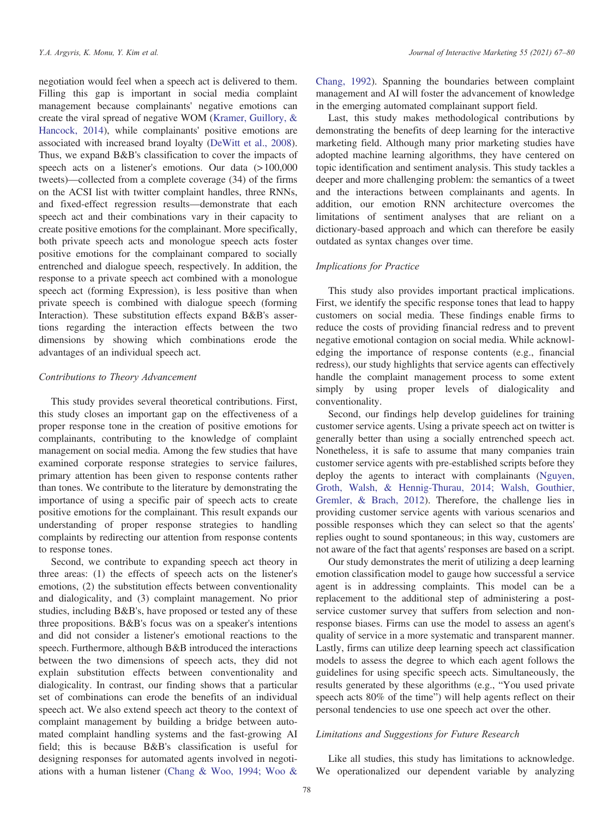negotiation would feel when a speech act is delivered to them. Filling this gap is important in social media complaint management because complainants' negative emotions can create the viral spread of negative WOM (Kramer, Guillory, & Hancock, 2014), while complainants' positive emotions are associated with increased brand loyalty (DeWitt et al., 2008). Thus, we expand B&B's classification to cover the impacts of speech acts on a listener's emotions. Our data (>100,000 tweets)—collected from a complete coverage (34) of the firms on the ACSI list with twitter complaint handles, three RNNs, and fixed-effect regression results—demonstrate that each speech act and their combinations vary in their capacity to create positive emotions for the complainant. More specifically, both private speech acts and monologue speech acts foster positive emotions for the complainant compared to socially entrenched and dialogue speech, respectively. In addition, the response to a private speech act combined with a monologue speech act (forming Expression), is less positive than when private speech is combined with dialogue speech (forming Interaction). These substitution effects expand B&B's assertions regarding the interaction effects between the two dimensions by showing which combinations erode the advantages of an individual speech act.

## Contributions to Theory Advancement

This study provides several theoretical contributions. First, this study closes an important gap on the effectiveness of a proper response tone in the creation of positive emotions for complainants, contributing to the knowledge of complaint management on social media. Among the few studies that have examined corporate response strategies to service failures, primary attention has been given to response contents rather than tones. We contribute to the literature by demonstrating the importance of using a specific pair of speech acts to create positive emotions for the complainant. This result expands our understanding of proper response strategies to handling complaints by redirecting our attention from response contents to response tones.

Second, we contribute to expanding speech act theory in three areas: (1) the effects of speech acts on the listener's emotions, (2) the substitution effects between conventionality and dialogicality, and (3) complaint management. No prior studies, including B&B's, have proposed or tested any of these three propositions. B&B's focus was on a speaker's intentions and did not consider a listener's emotional reactions to the speech. Furthermore, although B&B introduced the interactions between the two dimensions of speech acts, they did not explain substitution effects between conventionality and dialogicality. In contrast, our finding shows that a particular set of combinations can erode the benefits of an individual speech act. We also extend speech act theory to the context of complaint management by building a bridge between automated complaint handling systems and the fast-growing AI field; this is because B&B's classification is useful for designing responses for automated agents involved in negotiations with a human listener (Chang & Woo, 1994; Woo &

Chang, 1992). Spanning the boundaries between complaint management and AI will foster the advancement of knowledge in the emerging automated complainant support field.

Last, this study makes methodological contributions by demonstrating the benefits of deep learning for the interactive marketing field. Although many prior marketing studies have adopted machine learning algorithms, they have centered on topic identification and sentiment analysis. This study tackles a deeper and more challenging problem: the semantics of a tweet and the interactions between complainants and agents. In addition, our emotion RNN architecture overcomes the limitations of sentiment analyses that are reliant on a dictionary-based approach and which can therefore be easily outdated as syntax changes over time.

## Implications for Practice

This study also provides important practical implications. First, we identify the specific response tones that lead to happy customers on social media. These findings enable firms to reduce the costs of providing financial redress and to prevent negative emotional contagion on social media. While acknowledging the importance of response contents (e.g., financial redress), our study highlights that service agents can effectively handle the complaint management process to some extent simply by using proper levels of dialogicality and conventionality.

Second, our findings help develop guidelines for training customer service agents. Using a private speech act on twitter is generally better than using a socially entrenched speech act. Nonetheless, it is safe to assume that many companies train customer service agents with pre-established scripts before they deploy the agents to interact with complainants (Nguyen, Groth, Walsh, & Hennig-Thurau, 2014; Walsh, Gouthier, Gremler, & Brach, 2012). Therefore, the challenge lies in providing customer service agents with various scenarios and possible responses which they can select so that the agents' replies ought to sound spontaneous; in this way, customers are not aware of the fact that agents' responses are based on a script.

Our study demonstrates the merit of utilizing a deep learning emotion classification model to gauge how successful a service agent is in addressing complaints. This model can be a replacement to the additional step of administering a postservice customer survey that suffers from selection and nonresponse biases. Firms can use the model to assess an agent's quality of service in a more systematic and transparent manner. Lastly, firms can utilize deep learning speech act classification models to assess the degree to which each agent follows the guidelines for using specific speech acts. Simultaneously, the results generated by these algorithms (e.g., "You used private speech acts 80% of the time") will help agents reflect on their personal tendencies to use one speech act over the other.

## Limitations and Suggestions for Future Research

Like all studies, this study has limitations to acknowledge. We operationalized our dependent variable by analyzing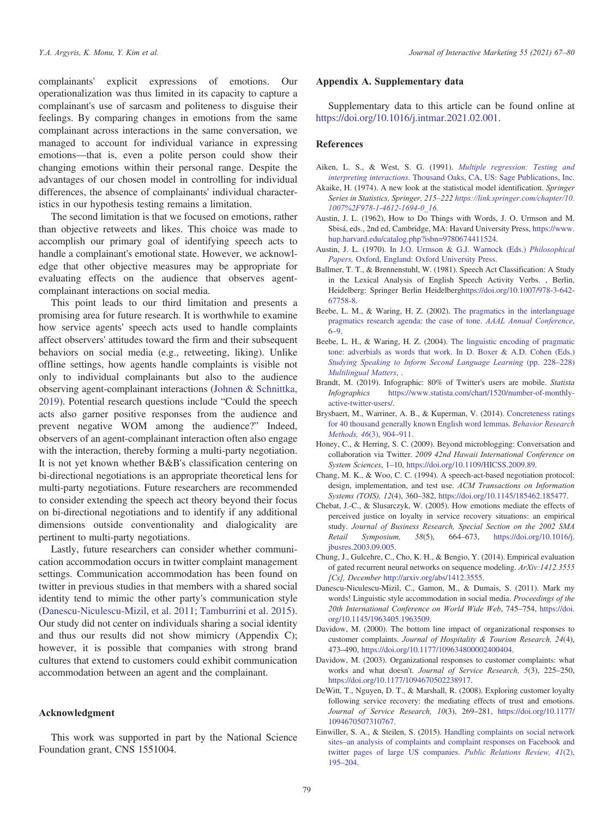complainants' explicit expressions of emotions. Our operationalization was thus limited in its capacity to capture a complainant's use of sarcasm and politeness to disguise their feelings. By comparing changes in emotions from the same complainant across interactions in the same conversation, we managed to account for individual variance in expressing emotions—that is, even a polite person could show their changing emotions within their personal range. Despite the advantages of our chosen model in controlling for individual differences, the absence of complainants' individual characteristics in our hypothesis testing remains a limitation.

The second limitation is that we focused on emotions, rather than objective retweets and likes. This choice was made to accomplish our primary goal of identifying speech acts to handle a complainant's emotional state. However, we acknowledge that other objective measures may be appropriate for evaluating effects on the audience that observes agentcomplainant interactions on social media.

This point leads to our third limitation and presents a promising area for future research. It is worthwhile to examine how service agents' speech acts used to handle complaints affect observers' attitudes toward the firm and their subsequent behaviors on social media (e.g., retweeting, liking). Unlike offline settings, how agents handle complaints is visible not only to individual complainants but also to the audience observing agent-complainant interactions (Johnen & Schnittka, 2019). Potential research questions include "Could the speech acts also garner positive responses from the audience and prevent negative WOM among the audience?" Indeed, observers of an agent-complainant interaction often also engage with the interaction, thereby forming a multi-party negotiation. It is not yet known whether B&B's classification centering on bi-directional negotiations is an appropriate theoretical lens for multi-party negotiations. Future researchers are recommended to consider extending the speech act theory beyond their focus on bi-directional negotiations and to identify if any additional dimensions outside conventionality and dialogicality are pertinent to multi-party negotiations.

Lastly, future researchers can consider whether communication accommodation occurs in twitter complaint management settings. Communication accommodation has been found on twitter in previous studies in that members with a shared social identity tend to mimic the other party's communication style (Danescu-Niculescu-Mizil, et al. 2011; Tamburrini et al. 2015). Our study did not center on individuals sharing a social identity and thus our results did not show mimicry (Appendix C); however, it is possible that companies with strong brand cultures that extend to customers could exhibit communication accommodation between an agent and the complainant.

## Acknowledgment

This work was supported in part by the National Science Foundation grant, CNS 1551004.

## Appendix A. Supplementary data

Supplementary data to this article can be found online at https://doi.org/10.1016/j.intmar.2021.02.001.

## References

- Aiken, L. S., & West, S. G. (1991). Multiple regression: Testing and interpreting interactions. Thousand Oaks, CA, US: Sage Publications, Inc.
- Akaike, H. (1974). A new look at the statistical model identification. Springer Series in Statistics, Springer, 215–222 https://link.springer.com/chapter/10. 1007%2F978-1-4612-1694-0\_16.
- Austin, J. L. (1962), How to Do Things with Words, J. O. Urmson and M. Sbisá, eds., 2nd ed, Cambridge, MA: Havard University Press, https://www. hup.harvard.edu/catalog.php?isbn=9780674411524.
- Austin, J. L. (1970). In J.O. Urmson & G.J. Warnock (Eds.) Philosophical Papers, Oxford, England: Oxford University Press.
- Ballmer, T. T., & Brennenstuhl, W. (1981). Speech Act Classification: A Study in the Lexical Analysis of English Speech Activity Verbs. , Berlin, Heidelberg: Springer Berlin Heidelberghttps://doi.org/10.1007/978-3-642- 67758-8.
- Beebe, L. M., & Waring, H. Z. (2002). The pragmatics in the interlanguage pragmatics research agenda: the case of tone. AAAL Annual Conference, 6–9.
- Beebe, L. H., & Waring, H. Z. (2004). The linguistic encoding of pragmatic tone: adverbials as words that work. In D. Boxer & A.D. Cohen (Eds.) Studying Speaking to Inform Second Language Learning (pp. 228–228) Multilingual Matters, .
- Brandt, M. (2019). Infographic: 80% of Twitter's users are mobile. Statista Infographics https://www.statista.com/chart/1520/number-of-monthlyactive-twitter-users/.
- Brysbaert, M., Warriner, A. B., & Kuperman, V. (2014). Concreteness ratings for 40 thousand generally known English word lemmas. Behavior Research Methods, 46(3), 904–911.
- Honey, C., & Herring, S. C. (2009). Beyond microblogging: Conversation and collaboration via Twitter. 2009 42nd Hawaii International Conference on System Sciences, 1–10, https://doi.org/10.1109/HICSS.2009.89.
- Chang, M. K., & Woo, C. C. (1994). A speech-act-based negotiation protocol: design, implementation, and test use. ACM Transactions on Information Systems (TOIS), 12(4), 360–382, https://doi.org/10.1145/185462.185477.
- Chebat, J.-C., & Slusarczyk, W. (2005). How emotions mediate the effects of perceived justice on loyalty in service recovery situations: an empirical study. Journal of Business Research, Special Section on the 2002 SMA Retail Symposium, 58(5), 664–673, https://doi.org/10.1016/j. jbusres.2003.09.005.
- Chung, J., Gulcehre, C., Cho, K. H., & Bengio, Y. (2014). Empirical evaluation of gated recurrent neural networks on sequence modeling. ArXiv:1412.3555 [Cs], December http://arxiv.org/abs/1412.3555.
- Danescu-Niculescu-Mizil, C., Gamon, M., & Dumais, S. (2011). Mark my words! Linguistic style accommodation in social media. Proceedings of the 20th International Conference on World Wide Web, 745–754, https://doi. org/10.1145/1963405.1963509.
- Davidow, M. (2000). The bottom line impact of organizational responses to customer complaints. Journal of Hospitality & Tourism Research, 24(4), 473–490, https://doi.org/10.1177/109634800002400404.
- Davidow, M. (2003). Organizational responses to customer complaints: what works and what doesn't. Journal of Service Research, 5(3), 225–250, https://doi.org/10.1177/1094670502238917.
- DeWitt, T., Nguyen, D. T., & Marshall, R. (2008). Exploring customer loyalty following service recovery: the mediating effects of trust and emotions. Journal of Service Research, 10(3), 269–281, https://doi.org/10.1177/ 1094670507310767.
- Einwiller, S. A., & Steilen, S. (2015). Handling complaints on social network sites–an analysis of complaints and complaint responses on Facebook and twitter pages of large US companies. Public Relations Review, 41(2), 195–204.